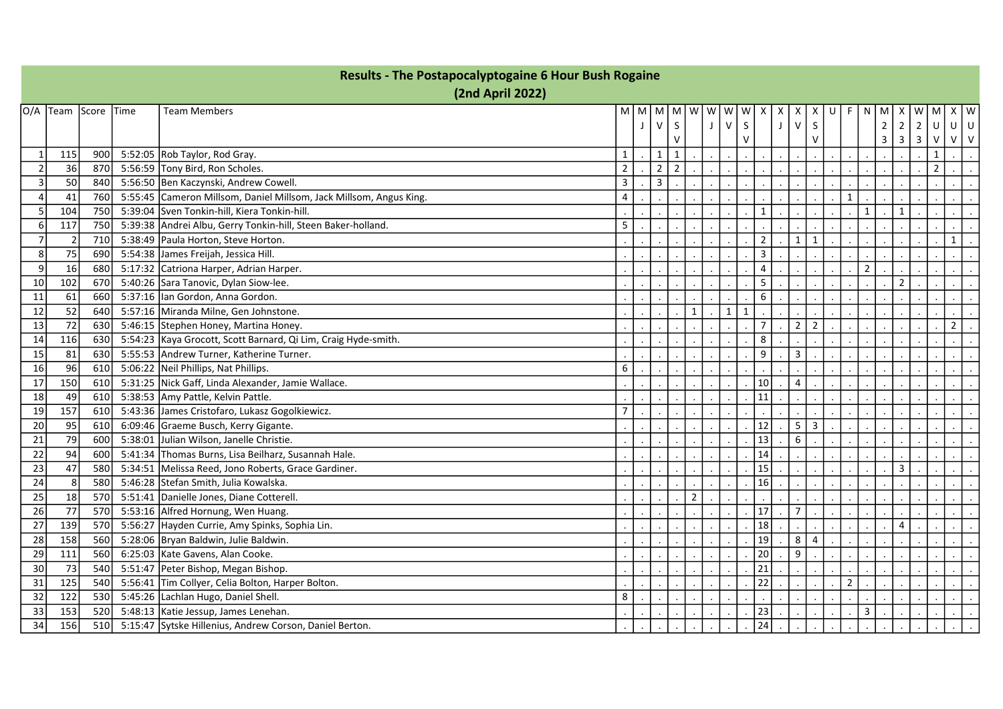|                | <b>Results - The Postapocalyptogaine 6 Hour Bush Rogaine</b><br>(2nd April 2022) |      |  |                                                                    |                |       |                |                |                |   |                              |                         |   |                |                |                |                |                |                         |                         |                |                |        |
|----------------|----------------------------------------------------------------------------------|------|--|--------------------------------------------------------------------|----------------|-------|----------------|----------------|----------------|---|------------------------------|-------------------------|---|----------------|----------------|----------------|----------------|----------------|-------------------------|-------------------------|----------------|----------------|--------|
|                |                                                                                  |      |  |                                                                    |                |       |                |                |                |   |                              |                         |   |                |                |                |                |                |                         |                         |                |                |        |
|                | O/A  Team  Score  Time                                                           |      |  | <b>Team Members</b>                                                |                | M   M |                | MMW            |                | W | w<br>W                       | X                       | X | х              | X              | U<br>F         | N              | M              | х                       | W                       | M              | X I            | W      |
|                |                                                                                  |      |  |                                                                    |                |       | $\vee$         | S              |                | J | $\vee$<br>S                  |                         | J | $\mathsf{V}$   | S              |                |                | $\overline{2}$ | 2                       | $\overline{2}$          | $\mathsf{U}$   | $\cup$         | $\cup$ |
|                |                                                                                  |      |  |                                                                    |                |       |                | $\mathsf{V}$   |                |   | $\vee$                       |                         |   |                | $\vee$         |                |                | $\overline{3}$ | $\overline{\mathbf{3}}$ | $\overline{\mathbf{3}}$ | ${\sf V}$      | $V$ V          |        |
| $\mathbf{1}$   | 115                                                                              | 900  |  | 5:52:05 Rob Taylor, Rod Gray.                                      | $\mathbf{1}$   |       | 1              | $\mathbf{1}$   |                |   |                              |                         |   |                |                |                |                |                |                         |                         | 1              |                |        |
| $\overline{2}$ | 36                                                                               | 870  |  | 5:56:59 Tony Bird, Ron Scholes.                                    | $\overline{2}$ |       | $\overline{2}$ | $\overline{2}$ |                |   |                              |                         |   |                |                |                |                |                |                         |                         | $\overline{2}$ |                |        |
| $\overline{3}$ | 50                                                                               | 840  |  | 5:56:50 Ben Kaczynski, Andrew Cowell.                              | 3              |       | 3              |                |                |   |                              |                         |   |                |                |                |                |                |                         |                         |                |                |        |
| $\Delta$       | 41                                                                               | 760  |  | 5:55:45 Cameron Millsom, Daniel Millsom, Jack Millsom, Angus King. | $\overline{4}$ |       |                |                |                |   |                              |                         |   |                |                | $\mathbf{1}$   |                |                |                         |                         |                |                |        |
| 5              | 104                                                                              | 750  |  | 5:39:04 Sven Tonkin-hill, Kiera Tonkin-hill.                       |                |       |                |                |                |   |                              | $\mathbf{1}$            |   |                |                |                | $\mathbf{1}$   |                | $\mathbf 1$             |                         |                |                |        |
| 6              | 117                                                                              | 750  |  | 5:39:38 Andrei Albu, Gerry Tonkin-hill, Steen Baker-holland.       | 5              |       |                |                |                |   |                              |                         |   |                |                |                |                |                |                         |                         |                |                |        |
| $\overline{7}$ | $\overline{2}$                                                                   | 710  |  | 5:38:49   Paula Horton, Steve Horton.                              |                |       |                |                |                |   |                              | $\overline{2}$          |   | 1              | $\mathbf 1$    |                |                |                |                         |                         |                | $\mathbf{1}$   |        |
| 8              | 75                                                                               | 690  |  | 5:54:38 James Freijah, Jessica Hill.                               |                |       |                |                |                |   |                              | $\overline{\mathbf{3}}$ |   |                |                |                |                |                |                         |                         |                |                |        |
| 9              | 16                                                                               | 680  |  | 5:17:32 Catriona Harper, Adrian Harper.                            |                |       |                |                |                |   |                              | 4                       |   |                |                |                | $\overline{2}$ |                |                         |                         |                |                |        |
| 10             | 102                                                                              | 670  |  | 5:40:26 Sara Tanovic, Dylan Siow-lee.                              |                |       |                |                |                |   |                              | 5                       |   |                |                |                |                |                | $\overline{2}$          |                         |                |                |        |
| 11             | 61                                                                               | 660  |  | 5:37:16 Ian Gordon, Anna Gordon.                                   |                |       |                |                |                |   |                              | 6                       |   |                |                |                |                |                |                         |                         |                |                |        |
| 12             | 52                                                                               | 640  |  | 5:57:16 Miranda Milne, Gen Johnstone.                              |                |       |                |                | $\mathbf{1}$   |   | $\mathbf{1}$<br>$\mathbf{1}$ |                         |   |                |                |                |                |                |                         |                         |                |                |        |
| 13             | $72\,$                                                                           | 630  |  | 5:46:15 Stephen Honey, Martina Honey.                              |                |       |                |                |                |   |                              | $\overline{7}$          |   | $\mathbf 2$    | $\overline{2}$ |                |                |                |                         |                         |                | $\overline{2}$ |        |
| 14             | 116                                                                              | 630  |  | 5:54:23 Kaya Grocott, Scott Barnard, Qi Lim, Craig Hyde-smith.     |                |       |                |                |                |   |                              | 8                       |   |                |                |                |                |                |                         |                         |                |                |        |
| 15             | 81                                                                               | 630  |  | 5:55:53 Andrew Turner, Katherine Turner.                           |                |       |                |                |                |   |                              | 9                       |   | 3              |                |                |                |                |                         |                         |                |                |        |
| 16             | 96                                                                               | 610  |  | 5:06:22 Neil Phillips, Nat Phillips.                               | 6              |       |                |                |                |   |                              |                         |   |                |                |                |                |                |                         |                         |                |                |        |
| 17             | 150                                                                              | 610  |  | 5:31:25 Nick Gaff, Linda Alexander, Jamie Wallace.                 |                |       |                |                |                |   |                              | 10                      |   | $\overline{4}$ |                |                |                |                |                         |                         |                |                |        |
| 18             | 49                                                                               | 610  |  | 5:38:53 Amy Pattle, Kelvin Pattle.                                 |                |       |                |                |                |   |                              | 11                      |   |                |                |                |                |                |                         |                         |                |                |        |
| 19             | 157                                                                              | 610  |  | 5:43:36 James Cristofaro, Lukasz Gogolkiewicz.                     | $\overline{7}$ |       |                |                |                |   |                              |                         |   |                |                |                |                |                |                         |                         |                |                |        |
| 20             | 95                                                                               | 610  |  | 6:09:46 Graeme Busch, Kerry Gigante.                               |                |       |                |                |                |   |                              | 12                      |   | 5              | $\overline{3}$ |                |                |                |                         |                         |                |                |        |
| 21             | 79                                                                               | 600  |  | 5:38:01 Julian Wilson, Janelle Christie.                           |                |       |                |                |                |   |                              | 13                      |   | 6              |                |                |                |                |                         |                         |                |                |        |
| 22             | 94                                                                               | 600  |  | 5:41:34 Thomas Burns, Lisa Beilharz, Susannah Hale.                |                |       |                |                |                |   |                              | 14                      |   |                |                |                |                |                |                         |                         |                |                |        |
| 23             | 47                                                                               | 580  |  | 5:34:51 Melissa Reed, Jono Roberts, Grace Gardiner.                |                |       |                |                |                |   |                              | 15                      |   |                |                |                |                |                | $\overline{3}$          |                         |                |                |        |
| 24             | 8                                                                                | 580  |  | 5:46:28 Stefan Smith, Julia Kowalska.                              |                |       |                |                |                |   |                              | 16                      |   |                |                |                |                |                |                         |                         |                |                |        |
| 25             | 18                                                                               | 570l |  | 5:51:41 Danielle Jones, Diane Cotterell.                           |                |       |                |                | $\overline{2}$ |   |                              |                         |   |                |                |                |                |                |                         |                         |                |                |        |
| 26             | 77                                                                               | 570  |  | 5:53:16 Alfred Hornung, Wen Huang.                                 |                |       |                |                |                |   |                              | 17                      |   | $\overline{7}$ |                |                |                |                |                         |                         |                |                |        |
| 27             | 139                                                                              | 570l |  | 5:56:27 Hayden Currie, Amy Spinks, Sophia Lin.                     |                |       |                |                |                |   |                              | 18                      |   |                |                |                |                |                | $\overline{a}$          |                         |                |                |        |
| 28             | 158                                                                              | 560  |  | 5:28:06 Bryan Baldwin, Julie Baldwin.                              |                |       |                |                |                |   |                              | 19                      |   | 8              | 4              |                |                |                |                         |                         |                |                |        |
| 29             | 111                                                                              | 560  |  | 6:25:03 Kate Gavens, Alan Cooke.                                   |                |       |                |                |                |   |                              | 20                      |   | 9              |                |                |                |                |                         |                         |                |                |        |
| 30             | 73                                                                               | 540  |  | 5:51:47 Peter Bishop, Megan Bishop.                                |                |       |                |                |                |   |                              | 21                      |   |                |                |                |                |                |                         |                         |                |                |        |
| 31             | 125                                                                              | 540  |  | 5:56:41 Tim Collyer, Celia Bolton, Harper Bolton.                  |                |       |                |                |                |   |                              | 22                      |   |                |                | $\overline{2}$ |                |                |                         |                         |                |                |        |
| 32             | 122                                                                              | 530  |  | 5:45:26 Lachlan Hugo, Daniel Shell.                                | 8              |       |                |                |                |   |                              |                         |   |                |                |                |                |                |                         |                         |                |                |        |
| 33             | 153                                                                              | 520  |  | 5:48:13   Katie Jessup, James Lenehan.                             |                |       |                |                |                |   |                              | 23                      |   |                |                |                | 3              |                |                         |                         |                |                |        |
| 34             | 156                                                                              | 510  |  | 5:15:47 Sytske Hillenius, Andrew Corson, Daniel Berton.            |                |       |                |                |                |   |                              | 24                      |   |                |                |                |                |                |                         |                         |                |                |        |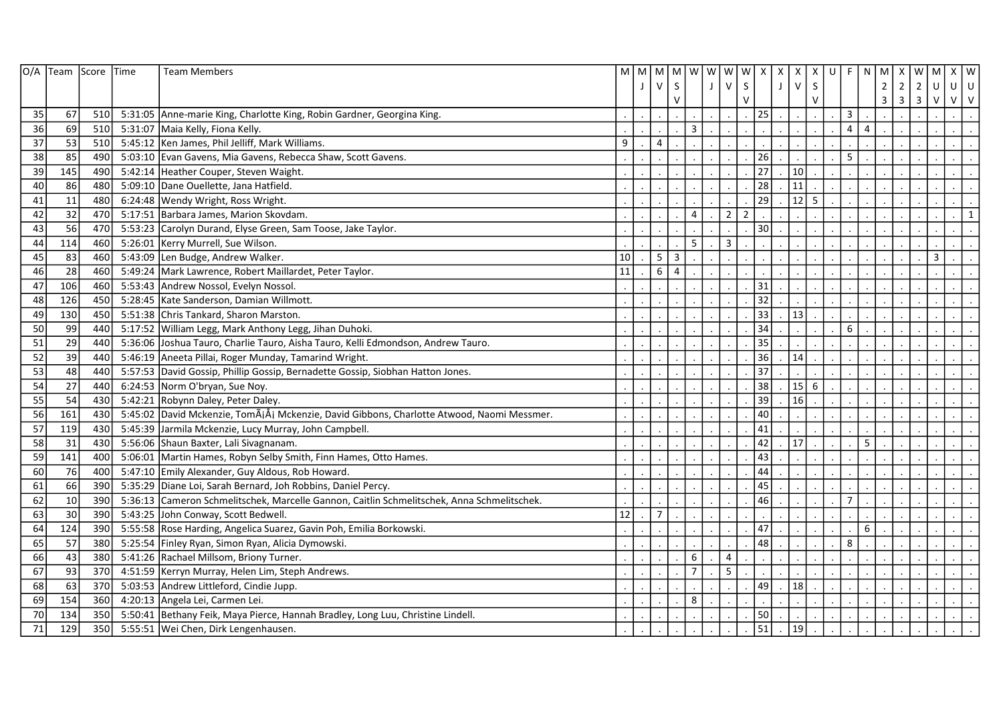|    | O/A Team Score Time |      | <b>Team Members</b>                                                                        |    | M M       | M              |                | M w w w w      |         |                               | X            | $\boldsymbol{\mathsf{x}}$ | $\boldsymbol{\mathsf{X}}$ | X            | $\cup$<br>F    | N              | M              | X              | W              | $\boldsymbol{\mathsf{X}}$<br>M | W             |
|----|---------------------|------|--------------------------------------------------------------------------------------------|----|-----------|----------------|----------------|----------------|---------|-------------------------------|--------------|---------------------------|---------------------------|--------------|----------------|----------------|----------------|----------------|----------------|--------------------------------|---------------|
|    |                     |      |                                                                                            |    |           | $\mathsf{V}$   | $\mathsf{S}$   |                | $\perp$ | $\vee$                        | $\mathsf{S}$ |                           | $\vee$                    | $\mathsf{S}$ |                |                | $2^{\circ}$    | $\overline{2}$ | $\overline{2}$ | U                              | $\cup$<br>  ∪ |
|    |                     |      |                                                                                            |    |           |                | $\vee$         |                |         |                               | V            |                           |                           | V            |                |                | $\overline{3}$ |                | $3 \mid 3$     | $\vee$                         | $V$ $V$       |
| 35 | 67                  | 510  | 5:31:05 Anne-marie King, Charlotte King, Robin Gardner, Georgina King.                     |    |           |                |                |                |         |                               | 25           |                           |                           |              | 3              |                |                |                |                |                                |               |
| 36 | 69                  | 510  | 5:31:07 Maia Kelly, Fiona Kelly.                                                           |    |           |                |                | 3              |         |                               |              |                           |                           |              | 4              | $\overline{4}$ |                |                |                |                                |               |
| 37 | 53                  | 510  | 5:45:12 Ken James, Phil Jelliff, Mark Williams.                                            | 9  |           | $\overline{4}$ |                |                |         |                               |              |                           |                           |              |                |                |                |                |                |                                |               |
| 38 | 85                  | 490  | 5:03:10 Evan Gavens, Mia Gavens, Rebecca Shaw, Scott Gavens.                               |    |           |                |                |                |         |                               | 26           |                           |                           |              | 5              |                |                |                |                |                                |               |
| 39 | 145                 | 490  | 5:42:14 Heather Couper, Steven Waight.                                                     |    |           |                |                |                |         |                               | 27           |                           | 10                        |              |                |                |                |                |                |                                |               |
| 40 | 86                  | 480  | 5:09:10 Dane Ouellette, Jana Hatfield.                                                     |    |           |                |                |                |         |                               | 28           |                           | 11                        |              |                |                |                |                |                |                                |               |
| 41 | 11                  | 480  | 6:24:48   Wendy Wright, Ross Wright.                                                       |    |           |                |                |                |         |                               | 29           |                           | 12                        | 5            |                |                |                |                |                |                                |               |
| 42 | 32                  | 470  | 5:17:51 Barbara James, Marion Skovdam.                                                     |    |           |                |                | 4              |         | $\mathbf 2$<br>$\overline{2}$ |              |                           |                           |              |                |                |                |                |                |                                |               |
| 43 | 56                  | 470  | 5:53:23 Carolyn Durand, Elyse Green, Sam Toose, Jake Taylor.                               |    |           |                |                |                |         |                               | 30           |                           |                           |              |                |                |                |                |                |                                |               |
| 44 | 114                 | 460  | 5:26:01   Kerry Murrell, Sue Wilson.                                                       |    |           |                |                | 5              |         | $\mathsf 3$                   |              |                           |                           |              |                |                |                |                |                |                                |               |
| 45 | 83                  | 460  | 5:43:09 Len Budge, Andrew Walker.                                                          | 10 |           | 5              | 3              |                |         |                               |              |                           |                           |              |                |                |                |                |                | $\overline{3}$                 |               |
| 46 | 28                  | 460  | 5:49:24   Mark Lawrence, Robert Maillardet, Peter Taylor.                                  | 11 |           | 6              | $\overline{4}$ |                |         |                               |              |                           |                           |              |                |                |                |                |                |                                |               |
| 47 | 106                 | 460  | 5:53:43 Andrew Nossol, Evelyn Nossol.                                                      |    |           |                |                |                |         |                               | 31           |                           |                           |              |                |                |                |                |                |                                |               |
| 48 | 126                 | 450  | 5:28:45   Kate Sanderson, Damian Willmott.                                                 |    |           |                |                |                |         |                               | 32           |                           |                           |              |                |                |                |                |                |                                |               |
| 49 | 130                 | 450  | 5:51:38 Chris Tankard, Sharon Marston.                                                     |    |           |                |                |                |         |                               | 33           |                           | 13                        |              |                |                |                |                |                |                                |               |
| 50 | 99                  | 440  | 5:17:52 William Legg, Mark Anthony Legg, Jihan Duhoki.                                     |    |           |                |                |                |         |                               | 34           |                           |                           |              | 6              |                |                |                |                |                                |               |
| 51 | 29                  | 440  | 5:36:06 Joshua Tauro, Charlie Tauro, Aisha Tauro, Kelli Edmondson, Andrew Tauro.           |    |           |                |                |                |         |                               | 35           |                           |                           |              |                |                |                |                |                |                                |               |
| 52 | 39                  | 440  | 5:46:19 Aneeta Pillai, Roger Munday, Tamarind Wright.                                      |    |           |                |                |                |         |                               | 36           |                           | 14                        |              |                |                |                |                |                |                                |               |
| 53 | 48                  | 440  | 5:57:53 David Gossip, Phillip Gossip, Bernadette Gossip, Siobhan Hatton Jones.             |    |           |                |                |                |         |                               | 37           |                           |                           |              |                |                |                |                |                |                                |               |
| 54 | 27                  | 440  | 6:24:53 Norm O'bryan, Sue Noy.                                                             |    |           |                |                |                |         |                               | 38           |                           | 15                        | 6            |                |                |                |                |                |                                |               |
| 55 | 54                  | 430  | 5:42:21 Robynn Daley, Peter Daley.                                                         |    |           |                |                |                |         |                               | 39           |                           | 16                        |              |                |                |                |                |                |                                |               |
| 56 | 161                 | 430  | 5:45:02 David Mckenzie, TomÃjÅj Mckenzie, David Gibbons, Charlotte Atwood, Naomi Messmer.  |    |           |                |                |                |         |                               | 40           |                           |                           |              |                |                |                |                |                |                                |               |
| 57 | 119                 | 430  | 5:45:39 Jarmila Mckenzie, Lucy Murray, John Campbell.                                      |    |           |                |                |                |         |                               | 41           |                           |                           |              |                |                |                |                |                |                                |               |
| 58 | 31                  | 430  | 5:56:06 Shaun Baxter, Lali Sivagnanam.                                                     |    |           |                |                |                |         |                               | 42           |                           | 17                        |              |                | 5              |                |                |                |                                |               |
| 59 | 141                 | 400  | 5:06:01 Martin Hames, Robyn Selby Smith, Finn Hames, Otto Hames.                           |    |           |                |                |                |         |                               | 43           |                           |                           |              |                |                |                |                |                |                                |               |
| 60 | 76                  | 400  | 5:47:10 Emily Alexander, Guy Aldous, Rob Howard.                                           |    |           |                |                |                |         |                               | 44           |                           |                           |              |                |                |                |                |                |                                |               |
| 61 | 66                  | 390  | 5:35:29 Diane Loi, Sarah Bernard, Joh Robbins, Daniel Percy.                               |    |           |                |                |                |         |                               | 45           |                           |                           |              |                |                |                |                |                |                                |               |
| 62 | 10                  | 390  | 5:36:13 Cameron Schmelitschek, Marcelle Gannon, Caitlin Schmelitschek, Anna Schmelitschek. |    |           |                |                |                |         |                               | 46           |                           |                           |              | $\overline{7}$ |                |                |                |                |                                |               |
| 63 | 30                  | 390  | 5:43:25 John Conway, Scott Bedwell.                                                        | 12 |           | $\overline{7}$ |                |                |         |                               |              |                           |                           |              |                |                |                |                |                |                                |               |
| 64 | 124                 | 390  | 5:55:58 Rose Harding, Angelica Suarez, Gavin Poh, Emilia Borkowski.                        |    |           |                |                |                |         |                               | 47           |                           |                           |              |                | 6              |                |                |                |                                |               |
| 65 | 57                  | 380  | 5:25:54 Finley Ryan, Simon Ryan, Alicia Dymowski.                                          |    |           |                |                |                |         |                               | 48           |                           |                           |              | 8              |                |                |                |                |                                |               |
| 66 | 43                  | 380  | 5:41:26   Rachael Millsom, Briony Turner.                                                  |    |           |                |                | 6              |         | $\pmb{4}$                     |              |                           |                           |              |                |                |                |                |                |                                |               |
| 67 | 93                  | 370  | 4:51:59 Kerryn Murray, Helen Lim, Steph Andrews.                                           |    |           |                |                | $\overline{7}$ |         | 5                             |              |                           |                           |              |                |                |                |                |                |                                |               |
| 68 | 63                  | 370  | 5:03:53 Andrew Littleford, Cindie Jupp.                                                    |    |           |                |                |                |         |                               | 49           |                           | 18                        |              |                |                |                |                |                |                                |               |
| 69 | 154                 | 360l | 4:20:13 Angela Lei, Carmen Lei.                                                            |    |           |                |                | 8              |         |                               |              |                           |                           |              |                |                |                |                |                |                                |               |
| 70 | 134                 | 350  | 5:50:41 Bethany Feik, Maya Pierce, Hannah Bradley, Long Luu, Christine Lindell.            |    |           |                |                |                |         |                               | 50           |                           |                           |              |                |                |                |                |                |                                |               |
| 71 | 129                 | 350  | 5:55:51 Wei Chen, Dirk Lengenhausen.                                                       |    | $\bullet$ | $\cdot$        |                |                |         | $\blacksquare$                | 51           |                           | 19                        |              |                |                |                |                |                |                                |               |